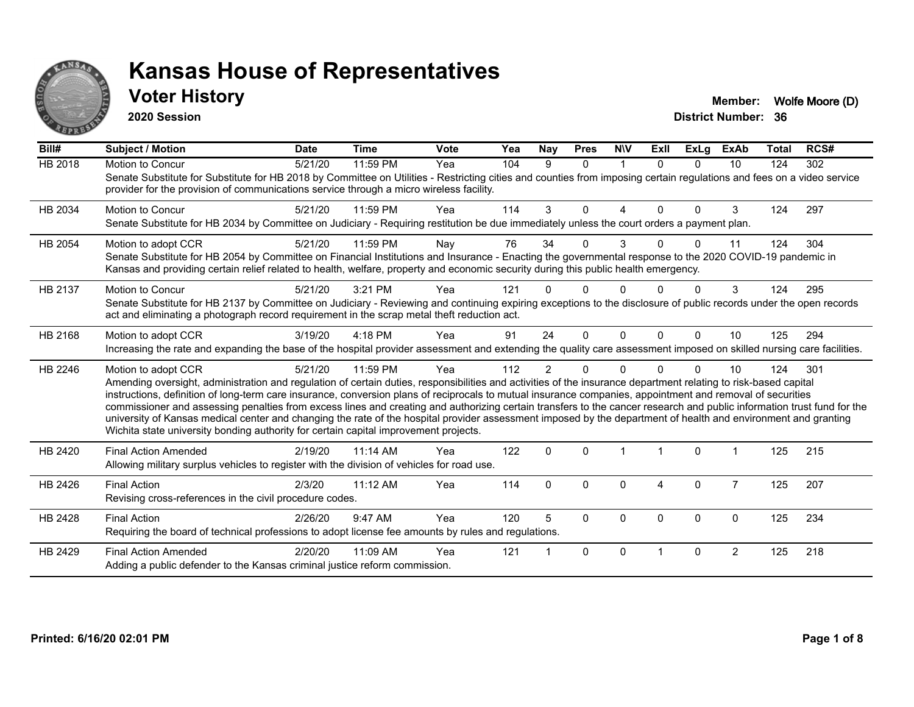

**2020 Session**

**Voter History Member:** Wolfe Moore (D)

| Bill#          | Subject / Motion                                                                                                                                                                                                                                                                                                                                                                                                                                                                                                                                                                                                                                                                                                                                                                         | <b>Date</b> | <b>Time</b> | Vote | Yea | Nay            | <b>Pres</b> | <b>NIV</b>     | <b>ExII</b> | <b>ExLg</b> | <b>ExAb</b>    | <b>Total</b> | RCS# |
|----------------|------------------------------------------------------------------------------------------------------------------------------------------------------------------------------------------------------------------------------------------------------------------------------------------------------------------------------------------------------------------------------------------------------------------------------------------------------------------------------------------------------------------------------------------------------------------------------------------------------------------------------------------------------------------------------------------------------------------------------------------------------------------------------------------|-------------|-------------|------|-----|----------------|-------------|----------------|-------------|-------------|----------------|--------------|------|
| <b>HB 2018</b> | Motion to Concur<br>Senate Substitute for Substitute for HB 2018 by Committee on Utilities - Restricting cities and counties from imposing certain regulations and fees on a video service<br>provider for the provision of communications service through a micro wireless facility.                                                                                                                                                                                                                                                                                                                                                                                                                                                                                                    | 5/21/20     | 11:59 PM    | Yea  | 104 | 9              | $\Omega$    | $\overline{1}$ | $\Omega$    | $\Omega$    | 10             | 124          | 302  |
| HB 2034        | Motion to Concur<br>Senate Substitute for HB 2034 by Committee on Judiciary - Requiring restitution be due immediately unless the court orders a payment plan.                                                                                                                                                                                                                                                                                                                                                                                                                                                                                                                                                                                                                           | 5/21/20     | 11:59 PM    | Yea  | 114 | 3              | $\Omega$    | 4              | $\Omega$    | $\Omega$    | 3              | 124          | 297  |
| HB 2054        | Motion to adopt CCR<br>Senate Substitute for HB 2054 by Committee on Financial Institutions and Insurance - Enacting the governmental response to the 2020 COVID-19 pandemic in<br>Kansas and providing certain relief related to health, welfare, property and economic security during this public health emergency.                                                                                                                                                                                                                                                                                                                                                                                                                                                                   | 5/21/20     | 11:59 PM    | Nay  | 76  | 34             | 0           | 3              |             | 0           | 11             | 124          | 304  |
| HB 2137        | Motion to Concur<br>Senate Substitute for HB 2137 by Committee on Judiciary - Reviewing and continuing expiring exceptions to the disclosure of public records under the open records<br>act and eliminating a photograph record requirement in the scrap metal theft reduction act.                                                                                                                                                                                                                                                                                                                                                                                                                                                                                                     | 5/21/20     | 3:21 PM     | Yea  | 121 |                | U           |                |             | U           | 3              | 124          | 295  |
| HB 2168        | Motion to adopt CCR<br>Increasing the rate and expanding the base of the hospital provider assessment and extending the quality care assessment imposed on skilled nursing care facilities.                                                                                                                                                                                                                                                                                                                                                                                                                                                                                                                                                                                              | 3/19/20     | $4:18$ PM   | Yea  | 91  | 24             | $\Omega$    | $\Omega$       | $\Omega$    | $\Omega$    | 10             | 125          | 294  |
| HB 2246        | Motion to adopt CCR<br>Amending oversight, administration and regulation of certain duties, responsibilities and activities of the insurance department relating to risk-based capital<br>instructions, definition of long-term care insurance, conversion plans of reciprocals to mutual insurance companies, appointment and removal of securities<br>commissioner and assessing penalties from excess lines and creating and authorizing certain transfers to the cancer research and public information trust fund for the<br>university of Kansas medical center and changing the rate of the hospital provider assessment imposed by the department of health and environment and granting<br>Wichita state university bonding authority for certain capital improvement projects. | 5/21/20     | 11:59 PM    | Yea  | 112 | $\overline{2}$ | 0           | $\Omega$       |             | $\Omega$    | 10             | 124          | 301  |
| HB 2420        | <b>Final Action Amended</b><br>Allowing military surplus vehicles to register with the division of vehicles for road use.                                                                                                                                                                                                                                                                                                                                                                                                                                                                                                                                                                                                                                                                | 2/19/20     | $11:14$ AM  | Yea  | 122 | $\Omega$       | $\Omega$    |                |             | $\Omega$    |                | 125          | 215  |
| HB 2426        | <b>Final Action</b><br>Revising cross-references in the civil procedure codes.                                                                                                                                                                                                                                                                                                                                                                                                                                                                                                                                                                                                                                                                                                           | 2/3/20      | 11:12 AM    | Yea  | 114 | $\Omega$       | $\Omega$    | $\Omega$       | 4           | $\Omega$    | $\overline{7}$ | 125          | 207  |
| HB 2428        | <b>Final Action</b><br>Requiring the board of technical professions to adopt license fee amounts by rules and regulations.                                                                                                                                                                                                                                                                                                                                                                                                                                                                                                                                                                                                                                                               | 2/26/20     | 9:47 AM     | Yea  | 120 | 5              | $\Omega$    | $\Omega$       | $\Omega$    | $\Omega$    | $\mathbf{0}$   | 125          | 234  |
| HB 2429        | <b>Final Action Amended</b><br>Adding a public defender to the Kansas criminal justice reform commission.                                                                                                                                                                                                                                                                                                                                                                                                                                                                                                                                                                                                                                                                                | 2/20/20     | 11:09 AM    | Yea  | 121 |                | $\Omega$    | $\Omega$       |             | $\Omega$    | $\overline{2}$ | 125          | 218  |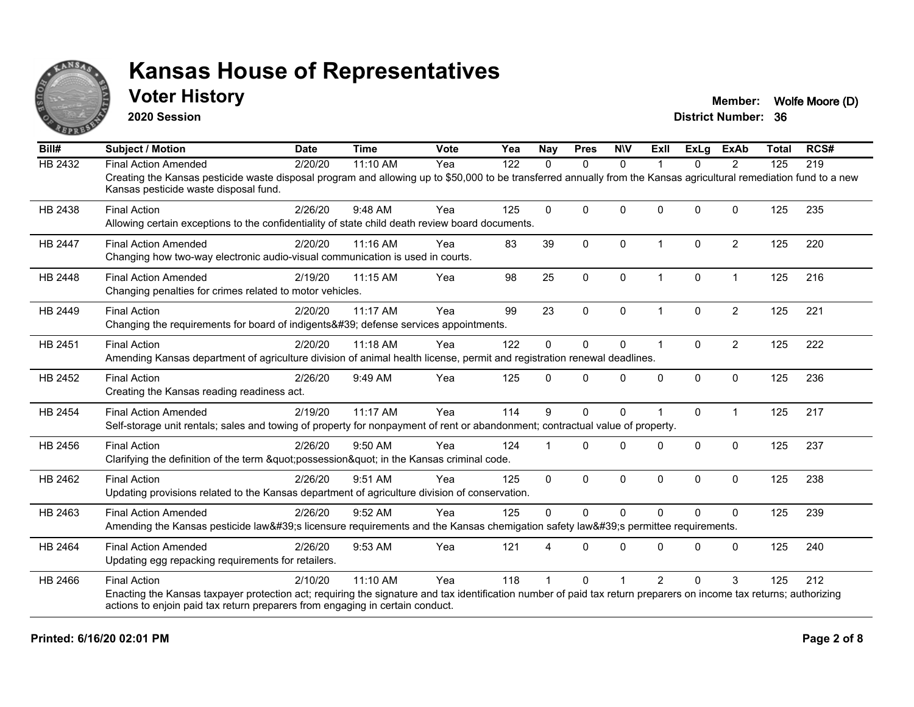

**2020 Session**

**Voter History Member:** Wolfe Moore (D)

| Bill#          | <b>Subject / Motion</b>                                                                                                                                                                                                                                                    | <b>Date</b> | <b>Time</b> | <b>Vote</b> | Yea | <b>Nay</b>   | <b>Pres</b>  | <b>NIV</b>   | ExII           | ExLq         | <b>ExAb</b>    | <b>Total</b> | RCS# |
|----------------|----------------------------------------------------------------------------------------------------------------------------------------------------------------------------------------------------------------------------------------------------------------------------|-------------|-------------|-------------|-----|--------------|--------------|--------------|----------------|--------------|----------------|--------------|------|
| HB 2432        | <b>Final Action Amended</b>                                                                                                                                                                                                                                                | 2/20/20     | 11:10 AM    | Yea         | 122 | $\mathbf{0}$ | $\mathbf{0}$ | $\Omega$     |                | $\mathbf{0}$ | $\overline{2}$ | 125          | 219  |
|                | Creating the Kansas pesticide waste disposal program and allowing up to \$50,000 to be transferred annually from the Kansas agricultural remediation fund to a new<br>Kansas pesticide waste disposal fund.                                                                |             |             |             |     |              |              |              |                |              |                |              |      |
| HB 2438        | <b>Final Action</b><br>Allowing certain exceptions to the confidentiality of state child death review board documents.                                                                                                                                                     | 2/26/20     | 9:48 AM     | Yea         | 125 | $\Omega$     | 0            | $\Omega$     | $\Omega$       | $\Omega$     | $\Omega$       | 125          | 235  |
| <b>HB 2447</b> | <b>Final Action Amended</b><br>Changing how two-way electronic audio-visual communication is used in courts.                                                                                                                                                               | 2/20/20     | 11:16 AM    | Yea         | 83  | 39           | 0            | 0            | $\overline{1}$ | $\mathbf{0}$ | $\overline{2}$ | 125          | 220  |
| HB 2448        | <b>Final Action Amended</b><br>Changing penalties for crimes related to motor vehicles.                                                                                                                                                                                    | 2/19/20     | 11:15 AM    | Yea         | 98  | 25           | $\mathbf 0$  | 0            | $\overline{1}$ | 0            | 1              | 125          | 216  |
| HB 2449        | <b>Final Action</b><br>Changing the requirements for board of indigents' defense services appointments.                                                                                                                                                                    | 2/20/20     | 11:17 AM    | Yea         | 99  | 23           | $\mathbf{0}$ | $\Omega$     |                | $\mathbf{0}$ | $\overline{2}$ | 125          | 221  |
| HB 2451        | <b>Final Action</b><br>Amending Kansas department of agriculture division of animal health license, permit and registration renewal deadlines.                                                                                                                             | 2/20/20     | 11:18 AM    | Yea         | 122 | 0            | 0            | 0            |                | $\mathbf{0}$ | $\overline{2}$ | 125          | 222  |
| HB 2452        | <b>Final Action</b><br>Creating the Kansas reading readiness act.                                                                                                                                                                                                          | 2/26/20     | 9:49 AM     | Yea         | 125 | $\Omega$     | $\Omega$     | $\mathbf 0$  | $\Omega$       | $\mathbf 0$  | $\mathbf 0$    | 125          | 236  |
| <b>HB 2454</b> | <b>Final Action Amended</b><br>Self-storage unit rentals; sales and towing of property for nonpayment of rent or abandonment; contractual value of property.                                                                                                               | 2/19/20     | 11:17 AM    | Yea         | 114 | 9            | $\mathbf{0}$ | 0            |                | $\mathbf{0}$ | $\overline{1}$ | 125          | 217  |
| HB 2456        | <b>Final Action</b><br>Clarifying the definition of the term "possession" in the Kansas criminal code.                                                                                                                                                                     | 2/26/20     | 9:50 AM     | Yea         | 124 |              | $\Omega$     | $\mathbf{0}$ | $\Omega$       | $\mathbf{0}$ | $\mathbf{0}$   | 125          | 237  |
| HB 2462        | <b>Final Action</b><br>Updating provisions related to the Kansas department of agriculture division of conservation.                                                                                                                                                       | 2/26/20     | 9:51 AM     | Yea         | 125 | $\mathbf{0}$ | $\Omega$     | $\Omega$     | $\Omega$       | $\mathbf{0}$ | $\Omega$       | 125          | 238  |
| HB 2463        | <b>Final Action Amended</b><br>Amending the Kansas pesticide law's licensure requirements and the Kansas chemigation safety law's permittee requirements.                                                                                                                  | 2/26/20     | 9:52 AM     | Yea         | 125 | $\mathbf{0}$ | $\mathbf{0}$ | $\Omega$     | $\Omega$       | $\Omega$     | $\Omega$       | 125          | 239  |
| HB 2464        | <b>Final Action Amended</b><br>Updating egg repacking requirements for retailers.                                                                                                                                                                                          | 2/26/20     | 9:53 AM     | Yea         | 121 | 4            | $\Omega$     | $\Omega$     | <sup>n</sup>   | $\Omega$     | $\Omega$       | 125          | 240  |
| HB 2466        | <b>Final Action</b><br>Enacting the Kansas taxpayer protection act; requiring the signature and tax identification number of paid tax return preparers on income tax returns; authorizing<br>actions to enjoin paid tax return preparers from engaging in certain conduct. | 2/10/20     | 11:10 AM    | Yea         | 118 |              | 0            |              | $\overline{2}$ | $\mathbf{0}$ | 3              | 125          | 212  |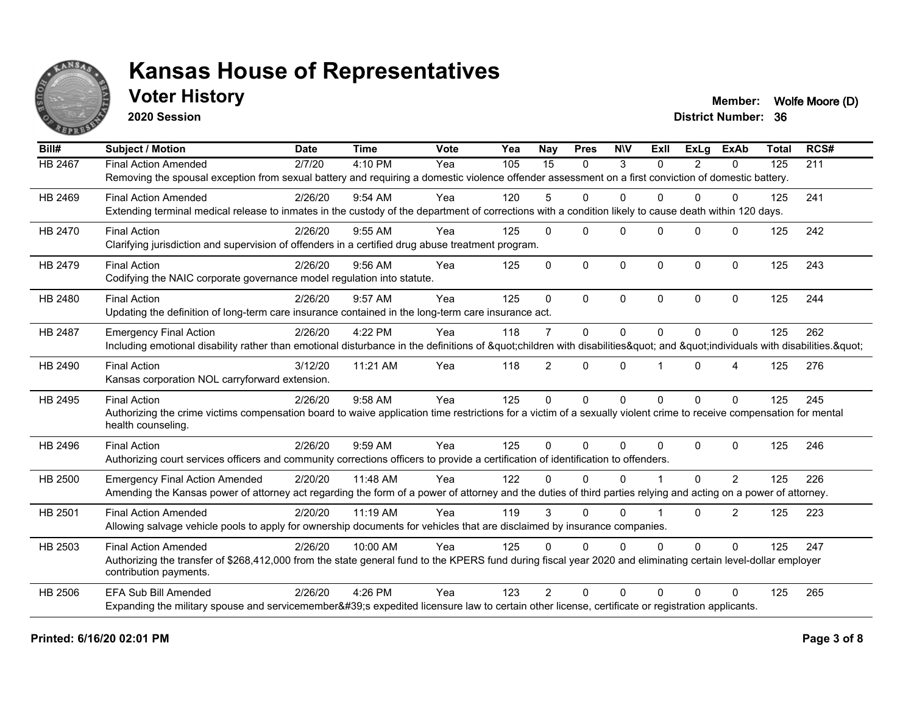

**2020 Session**

**Voter History Member:** Wolfe Moore (D)

| Bill#          | <b>Subject / Motion</b>                                                                                                                                             | <b>Date</b> | Time      | Vote | Yea | <b>Nay</b>     | <b>Pres</b>  | <b>NIV</b>   | ExII                 | ExLa     | <b>ExAb</b>    | <b>Total</b> | RCS# |
|----------------|---------------------------------------------------------------------------------------------------------------------------------------------------------------------|-------------|-----------|------|-----|----------------|--------------|--------------|----------------------|----------|----------------|--------------|------|
| <b>HB 2467</b> | <b>Final Action Amended</b>                                                                                                                                         | 2/7/20      | 4:10 PM   | Yea  | 105 | 15             | $\Omega$     | 3            | $\Omega$             | 2        | 0              | 125          | 211  |
|                | Removing the spousal exception from sexual battery and requiring a domestic violence offender assessment on a first conviction of domestic battery.                 |             |           |      |     |                |              |              |                      |          |                |              |      |
| HB 2469        | <b>Final Action Amended</b>                                                                                                                                         | 2/26/20     | 9:54 AM   | Yea  | 120 | 5              | $\Omega$     | $\mathbf{0}$ | 0                    | $\Omega$ | 0              | 125          | 241  |
|                | Extending terminal medical release to inmates in the custody of the department of corrections with a condition likely to cause death within 120 days.               |             |           |      |     |                |              |              |                      |          |                |              |      |
| HB 2470        | <b>Final Action</b>                                                                                                                                                 | 2/26/20     | 9:55 AM   | Yea  | 125 | $\Omega$       | $\Omega$     | $\Omega$     | $\Omega$             | $\Omega$ | $\Omega$       | 125          | 242  |
|                | Clarifying jurisdiction and supervision of offenders in a certified drug abuse treatment program.                                                                   |             |           |      |     |                |              |              |                      |          |                |              |      |
| HB 2479        | <b>Final Action</b>                                                                                                                                                 | 2/26/20     | $9:56$ AM | Yea  | 125 | $\Omega$       | $\Omega$     | $\mathbf{0}$ | $\Omega$             | $\Omega$ | $\Omega$       | 125          | 243  |
|                | Codifying the NAIC corporate governance model regulation into statute.                                                                                              |             |           |      |     |                |              |              |                      |          |                |              |      |
| HB 2480        | <b>Final Action</b>                                                                                                                                                 | 2/26/20     | 9:57 AM   | Yea  | 125 | $\Omega$       | $\Omega$     | $\Omega$     | $\Omega$             | $\Omega$ | $\Omega$       | 125          | 244  |
|                | Updating the definition of long-term care insurance contained in the long-term care insurance act.                                                                  |             |           |      |     |                |              |              |                      |          |                |              |      |
| <b>HB 2487</b> | <b>Emergency Final Action</b>                                                                                                                                       | 2/26/20     | 4:22 PM   | Yea  | 118 | $\overline{7}$ | 0            | $\mathbf{0}$ | $\Omega$             | $\Omega$ | $\Omega$       | 125          | 262  |
|                | Including emotional disability rather than emotional disturbance in the definitions of "children with disabilities" and "individuals with disabilities. "           |             |           |      |     |                |              |              |                      |          |                |              |      |
| HB 2490        | <b>Final Action</b>                                                                                                                                                 | 3/12/20     | 11:21 AM  | Yea  | 118 | $\overline{2}$ | $\Omega$     | $\mathbf{0}$ |                      | $\Omega$ | 4              | 125          | 276  |
|                | Kansas corporation NOL carryforward extension.                                                                                                                      |             |           |      |     |                |              |              |                      |          |                |              |      |
| HB 2495        | <b>Final Action</b>                                                                                                                                                 | 2/26/20     | 9:58 AM   | Yea  | 125 | $\Omega$       | $\mathbf{0}$ | $\mathbf{0}$ | $\Omega$             | $\Omega$ | $\Omega$       | 125          | 245  |
|                | Authorizing the crime victims compensation board to waive application time restrictions for a victim of a sexually violent crime to receive compensation for mental |             |           |      |     |                |              |              |                      |          |                |              |      |
|                | health counseling.                                                                                                                                                  |             |           |      |     |                |              |              |                      |          |                |              |      |
| HB 2496        | <b>Final Action</b>                                                                                                                                                 | 2/26/20     | 9:59 AM   | Yea  | 125 | $\Omega$       | $\Omega$     | $\Omega$     | 0                    | $\Omega$ | $\Omega$       | 125          | 246  |
|                | Authorizing court services officers and community corrections officers to provide a certification of identification to offenders.                                   |             |           |      |     |                |              |              |                      |          |                |              |      |
| HB 2500        | <b>Emergency Final Action Amended</b>                                                                                                                               | 2/20/20     | 11:48 AM  | Yea  | 122 | U.             | $\Omega$     | $\Omega$     |                      | $\Omega$ | $\overline{2}$ | 125          | 226  |
|                | Amending the Kansas power of attorney act regarding the form of a power of attorney and the duties of third parties relying and acting on a power of attorney.      |             |           |      |     |                |              |              |                      |          |                |              |      |
| HB 2501        | <b>Final Action Amended</b>                                                                                                                                         | 2/20/20     | 11:19 AM  | Yea  | 119 | 3              | $\Omega$     | $\Omega$     | $\blacktriangleleft$ | $\Omega$ | $\overline{2}$ | 125          | 223  |
|                | Allowing salvage vehicle pools to apply for ownership documents for vehicles that are disclaimed by insurance companies.                                            |             |           |      |     |                |              |              |                      |          |                |              |      |
| HB 2503        | <b>Final Action Amended</b>                                                                                                                                         | 2/26/20     | 10:00 AM  | Yea  | 125 | $\Omega$       | $\Omega$     | $\Omega$     | $\Omega$             | $\Omega$ | $\Omega$       | 125          | 247  |
|                | Authorizing the transfer of \$268,412,000 from the state general fund to the KPERS fund during fiscal year 2020 and eliminating certain level-dollar employer       |             |           |      |     |                |              |              |                      |          |                |              |      |
|                | contribution payments.                                                                                                                                              |             |           |      |     |                |              |              |                      |          |                |              |      |
| HB 2506        | <b>EFA Sub Bill Amended</b>                                                                                                                                         | 2/26/20     | 4:26 PM   | Yea  | 123 | $\mathfrak{p}$ | $\Omega$     | $\Omega$     | 0                    | $\Omega$ | $\Omega$       | 125          | 265  |
|                | Expanding the military spouse and servicemember's expedited licensure law to certain other license, certificate or registration applicants.                         |             |           |      |     |                |              |              |                      |          |                |              |      |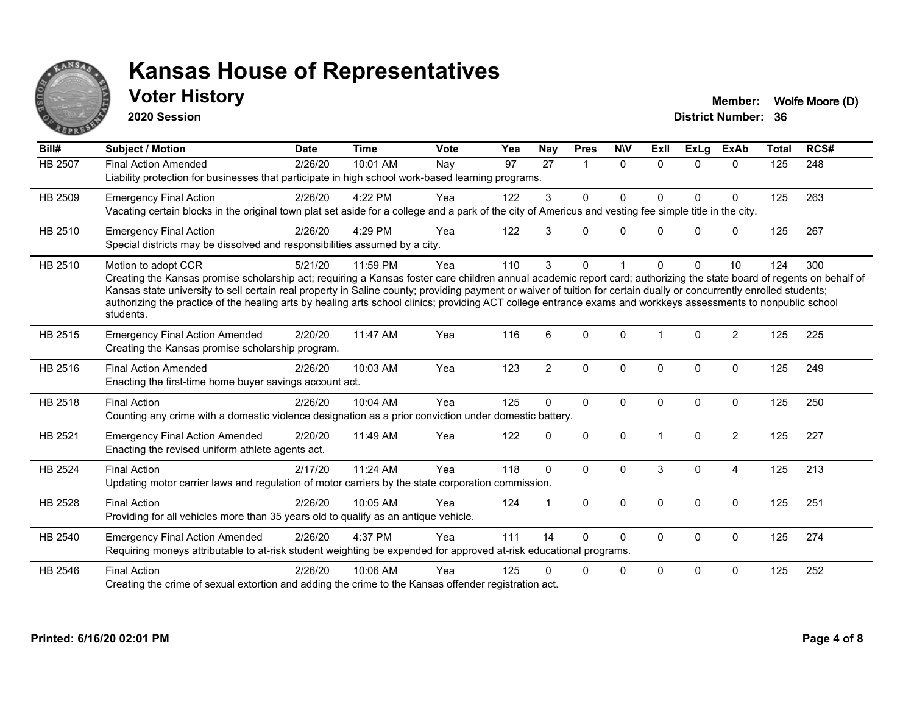

**2020 Session**

**Voter History Member:** Wolfe Moore (D)

| Bill#          | <b>Subject / Motion</b>                                                                                                                                                                                                                                                                                                                                                                                                                                                                                                                             | <b>Date</b> | <b>Time</b> | <b>Vote</b> | Yea | <b>Nay</b>     | <b>Pres</b>          | <b>NIV</b>   | <b>Exll</b> | ExLg         | <b>ExAb</b>    | <b>Total</b> | RCS# |
|----------------|-----------------------------------------------------------------------------------------------------------------------------------------------------------------------------------------------------------------------------------------------------------------------------------------------------------------------------------------------------------------------------------------------------------------------------------------------------------------------------------------------------------------------------------------------------|-------------|-------------|-------------|-----|----------------|----------------------|--------------|-------------|--------------|----------------|--------------|------|
| HB 2507        | <b>Final Action Amended</b><br>Liability protection for businesses that participate in high school work-based learning programs.                                                                                                                                                                                                                                                                                                                                                                                                                    | 2/26/20     | 10:01 AM    | Nay         | 97  | 27             | $\blacktriangleleft$ | $\Omega$     | $\Omega$    | $\Omega$     | $\Omega$       | 125          | 248  |
| HB 2509        | <b>Emergency Final Action</b><br>Vacating certain blocks in the original town plat set aside for a college and a park of the city of Americus and vesting fee simple title in the city.                                                                                                                                                                                                                                                                                                                                                             | 2/26/20     | 4:22 PM     | Yea         | 122 | 3              | $\mathbf 0$          | $\mathbf 0$  | $\Omega$    | $\Omega$     | $\mathbf 0$    | 125          | 263  |
| HB 2510        | <b>Emergency Final Action</b><br>Special districts may be dissolved and responsibilities assumed by a city.                                                                                                                                                                                                                                                                                                                                                                                                                                         | 2/26/20     | 4:29 PM     | Yea         | 122 | 3              | $\Omega$             | $\Omega$     | $\Omega$    | $\Omega$     | $\mathbf 0$    | 125          | 267  |
| HB 2510        | Motion to adopt CCR<br>Creating the Kansas promise scholarship act; requiring a Kansas foster care children annual academic report card; authorizing the state board of regents on behalf of<br>Kansas state university to sell certain real property in Saline county; providing payment or waiver of tuition for certain dually or concurrently enrolled students;<br>authorizing the practice of the healing arts by healing arts school clinics; providing ACT college entrance exams and workkeys assessments to nonpublic school<br>students. | 5/21/20     | 11:59 PM    | Yea         | 110 | 3              | $\Omega$             |              | 0           | $\Omega$     | 10             | 124          | 300  |
| HB 2515        | <b>Emergency Final Action Amended</b><br>Creating the Kansas promise scholarship program.                                                                                                                                                                                                                                                                                                                                                                                                                                                           | 2/20/20     | 11:47 AM    | Yea         | 116 | 6              | $\Omega$             | $\Omega$     |             | $\Omega$     | $\overline{2}$ | 125          | 225  |
| HB 2516        | <b>Final Action Amended</b><br>Enacting the first-time home buyer savings account act.                                                                                                                                                                                                                                                                                                                                                                                                                                                              | 2/26/20     | 10:03 AM    | Yea         | 123 | $\overline{2}$ | $\mathbf 0$          | $\mathbf 0$  | $\Omega$    | $\Omega$     | $\mathbf 0$    | 125          | 249  |
| HB 2518        | <b>Final Action</b><br>Counting any crime with a domestic violence designation as a prior conviction under domestic battery.                                                                                                                                                                                                                                                                                                                                                                                                                        | 2/26/20     | 10:04 AM    | Yea         | 125 | $\Omega$       | $\Omega$             | $\Omega$     | $\Omega$    | $\mathbf{0}$ | $\mathbf 0$    | 125          | 250  |
| HB 2521        | <b>Emergency Final Action Amended</b><br>Enacting the revised uniform athlete agents act.                                                                                                                                                                                                                                                                                                                                                                                                                                                           | 2/20/20     | 11:49 AM    | Yea         | 122 | $\Omega$       | $\mathbf{0}$         | $\Omega$     |             | $\mathbf{0}$ | $\overline{2}$ | 125          | 227  |
| <b>HB 2524</b> | <b>Final Action</b><br>Updating motor carrier laws and regulation of motor carriers by the state corporation commission.                                                                                                                                                                                                                                                                                                                                                                                                                            | 2/17/20     | 11:24 AM    | Yea         | 118 | $\mathbf{0}$   | $\Omega$             | $\Omega$     | 3           | $\Omega$     | $\overline{4}$ | 125          | 213  |
| HB 2528        | <b>Final Action</b><br>Providing for all vehicles more than 35 years old to qualify as an antique vehicle.                                                                                                                                                                                                                                                                                                                                                                                                                                          | 2/26/20     | 10:05 AM    | Yea         | 124 |                | $\mathbf{0}$         | $\mathbf{0}$ | $\Omega$    | $\Omega$     | $\Omega$       | 125          | 251  |
| HB 2540        | <b>Emergency Final Action Amended</b><br>Requiring moneys attributable to at-risk student weighting be expended for approved at-risk educational programs.                                                                                                                                                                                                                                                                                                                                                                                          | 2/26/20     | 4:37 PM     | Yea         | 111 | 14             | $\Omega$             | $\Omega$     | 0           | 0            | $\mathbf 0$    | 125          | 274  |
| HB 2546        | <b>Final Action</b><br>Creating the crime of sexual extortion and adding the crime to the Kansas offender registration act.                                                                                                                                                                                                                                                                                                                                                                                                                         | 2/26/20     | 10:06 AM    | Yea         | 125 |                | 0                    | $\mathbf 0$  | $\Omega$    | $\Omega$     | 0              | 125          | 252  |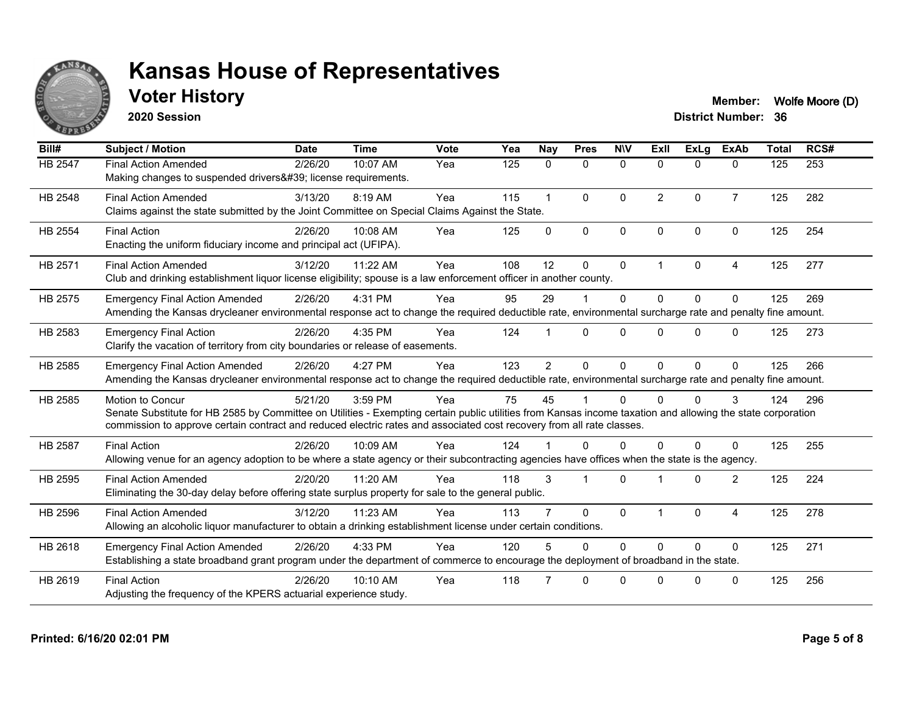

**2020 Session**

**Voter History Member:** Wolfe Moore (D)

| Bill#          | <b>Subject / Motion</b>                                                                                                                                                                                                                                                                                         | <b>Date</b> | <b>Time</b> | Vote | Yea | Nay            | <b>Pres</b>    | <b>NIV</b>   | ExII          | <b>ExLa</b>  | <b>ExAb</b>    | <b>Total</b> | RCS# |
|----------------|-----------------------------------------------------------------------------------------------------------------------------------------------------------------------------------------------------------------------------------------------------------------------------------------------------------------|-------------|-------------|------|-----|----------------|----------------|--------------|---------------|--------------|----------------|--------------|------|
| HB 2547        | <b>Final Action Amended</b><br>Making changes to suspended drivers' license requirements.                                                                                                                                                                                                                       | 2/26/20     | 10:07 AM    | Yea  | 125 | $\mathbf{0}$   | $\mathbf 0$    | $\mathbf{0}$ | $\Omega$      | $\mathbf{0}$ | $\mathbf{0}$   | 125          | 253  |
| HB 2548        | <b>Final Action Amended</b><br>Claims against the state submitted by the Joint Committee on Special Claims Against the State.                                                                                                                                                                                   | 3/13/20     | 8:19 AM     | Yea  | 115 | $\mathbf{1}$   | $\Omega$       | $\Omega$     | $\mathcal{P}$ | $\Omega$     | $\overline{7}$ | 125          | 282  |
| HB 2554        | <b>Final Action</b><br>Enacting the uniform fiduciary income and principal act (UFIPA).                                                                                                                                                                                                                         | 2/26/20     | 10:08 AM    | Yea  | 125 | $\Omega$       | $\mathbf{0}$   | $\Omega$     | $\Omega$      | $\Omega$     | $\Omega$       | 125          | 254  |
| HB 2571        | <b>Final Action Amended</b><br>Club and drinking establishment liquor license eligibility; spouse is a law enforcement officer in another county.                                                                                                                                                               | 3/12/20     | 11:22 AM    | Yea  | 108 | 12             | $\mathbf{0}$   | $\mathbf{0}$ | 1             | $\Omega$     | 4              | 125          | 277  |
| HB 2575        | <b>Emergency Final Action Amended</b><br>Amending the Kansas drycleaner environmental response act to change the required deductible rate, environmental surcharge rate and penalty fine amount.                                                                                                                | 2/26/20     | 4:31 PM     | Yea  | 95  | 29             |                | $\Omega$     | $\Omega$      | $\Omega$     | $\Omega$       | 125          | 269  |
| HB 2583        | <b>Emergency Final Action</b><br>Clarify the vacation of territory from city boundaries or release of easements.                                                                                                                                                                                                | 2/26/20     | 4:35 PM     | Yea  | 124 |                | $\Omega$       | $\Omega$     | $\Omega$      | $\Omega$     | $\Omega$       | 125          | 273  |
| HB 2585        | <b>Emergency Final Action Amended</b><br>Amending the Kansas drycleaner environmental response act to change the required deductible rate, environmental surcharge rate and penalty fine amount.                                                                                                                | 2/26/20     | 4:27 PM     | Yea  | 123 | $\overline{2}$ | $\Omega$       | $\Omega$     | $\Omega$      | $\Omega$     | $\Omega$       | 125          | 266  |
| HB 2585        | <b>Motion to Concur</b><br>Senate Substitute for HB 2585 by Committee on Utilities - Exempting certain public utilities from Kansas income taxation and allowing the state corporation<br>commission to approve certain contract and reduced electric rates and associated cost recovery from all rate classes. | 5/21/20     | 3:59 PM     | Yea  | 75  | 45             |                | $\Omega$     | $\Omega$      | $\Omega$     | 3              | 124          | 296  |
| <b>HB 2587</b> | <b>Final Action</b><br>Allowing venue for an agency adoption to be where a state agency or their subcontracting agencies have offices when the state is the agency.                                                                                                                                             | 2/26/20     | 10:09 AM    | Yea  | 124 |                | $\Omega$       | $\Omega$     | U             | $\Omega$     | $\Omega$       | 125          | 255  |
| HB 2595        | <b>Final Action Amended</b><br>Eliminating the 30-day delay before offering state surplus property for sale to the general public.                                                                                                                                                                              | 2/20/20     | 11:20 AM    | Yea  | 118 | 3              | $\overline{1}$ | $\Omega$     |               | $\Omega$     | 2              | 125          | 224  |
| HB 2596        | <b>Final Action Amended</b><br>Allowing an alcoholic liquor manufacturer to obtain a drinking establishment license under certain conditions.                                                                                                                                                                   | 3/12/20     | 11:23 AM    | Yea  | 113 |                | $\Omega$       | $\Omega$     |               | $\Omega$     | $\overline{4}$ | 125          | 278  |
| HB 2618        | <b>Emergency Final Action Amended</b><br>Establishing a state broadband grant program under the department of commerce to encourage the deployment of broadband in the state.                                                                                                                                   | 2/26/20     | 4:33 PM     | Yea  | 120 |                | $\Omega$       | $\Omega$     | $\Omega$      | $\Omega$     | $\Omega$       | 125          | 271  |
| HB 2619        | <b>Final Action</b><br>Adjusting the frequency of the KPERS actuarial experience study.                                                                                                                                                                                                                         | 2/26/20     | $10:10$ AM  | Yea  | 118 |                | $\Omega$       | $\Omega$     | $\Omega$      | $\Omega$     | $\Omega$       | 125          | 256  |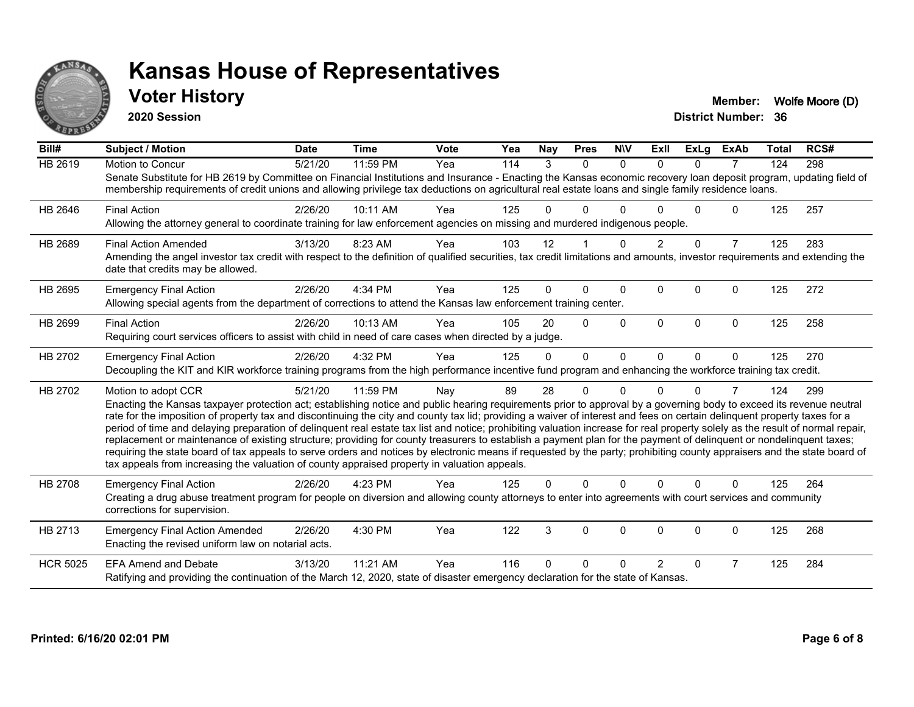

**2020 Session**

**Voter History Member:** Wolfe Moore (D)

| Bill#           | Subject / Motion                                                                                                                                                                                                                                                                                                                                                                                                                                                                                                                                                                                                                                                                                                                                                                                                                                                                                                                                                                                              | <b>Date</b> | <b>Time</b> | <b>Vote</b> | Yea | <b>Nay</b> | <b>Pres</b> | <b>NIV</b>   | ExII           | <b>ExLg</b> | <b>ExAb</b>    | <b>Total</b> | RCS# |
|-----------------|---------------------------------------------------------------------------------------------------------------------------------------------------------------------------------------------------------------------------------------------------------------------------------------------------------------------------------------------------------------------------------------------------------------------------------------------------------------------------------------------------------------------------------------------------------------------------------------------------------------------------------------------------------------------------------------------------------------------------------------------------------------------------------------------------------------------------------------------------------------------------------------------------------------------------------------------------------------------------------------------------------------|-------------|-------------|-------------|-----|------------|-------------|--------------|----------------|-------------|----------------|--------------|------|
| <b>HB 2619</b>  | Motion to Concur<br>Senate Substitute for HB 2619 by Committee on Financial Institutions and Insurance - Enacting the Kansas economic recovery loan deposit program, updating field of<br>membership requirements of credit unions and allowing privilege tax deductions on agricultural real estate loans and single family residence loans.                                                                                                                                                                                                                                                                                                                                                                                                                                                                                                                                                                                                                                                                 | 5/21/20     | 11:59 PM    | Yea         | 114 | 3          | $\Omega$    | $\Omega$     | $\Omega$       | $\Omega$    | $\overline{7}$ | 124          | 298  |
| HB 2646         | <b>Final Action</b><br>Allowing the attorney general to coordinate training for law enforcement agencies on missing and murdered indigenous people.                                                                                                                                                                                                                                                                                                                                                                                                                                                                                                                                                                                                                                                                                                                                                                                                                                                           | 2/26/20     | 10:11 AM    | Yea         | 125 | 0          | $\Omega$    | ∩            |                | U           | 0              | 125          | 257  |
| HB 2689         | <b>Final Action Amended</b><br>Amending the angel investor tax credit with respect to the definition of qualified securities, tax credit limitations and amounts, investor requirements and extending the<br>date that credits may be allowed.                                                                                                                                                                                                                                                                                                                                                                                                                                                                                                                                                                                                                                                                                                                                                                | 3/13/20     | 8:23 AM     | Yea         | 103 | 12         |             | $\Omega$     | $\overline{2}$ | $\Omega$    | $\overline{7}$ | 125          | 283  |
| HB 2695         | <b>Emergency Final Action</b><br>Allowing special agents from the department of corrections to attend the Kansas law enforcement training center.                                                                                                                                                                                                                                                                                                                                                                                                                                                                                                                                                                                                                                                                                                                                                                                                                                                             | 2/26/20     | 4:34 PM     | Yea         | 125 | 0          | 0           | $\mathbf{0}$ | $\Omega$       | $\Omega$    | $\Omega$       | 125          | 272  |
| HB 2699         | <b>Final Action</b><br>Requiring court services officers to assist with child in need of care cases when directed by a judge.                                                                                                                                                                                                                                                                                                                                                                                                                                                                                                                                                                                                                                                                                                                                                                                                                                                                                 | 2/26/20     | 10:13 AM    | Yea         | 105 | 20         | $\Omega$    | $\Omega$     | $\Omega$       | $\Omega$    | $\Omega$       | 125          | 258  |
| HB 2702         | <b>Emergency Final Action</b><br>Decoupling the KIT and KIR workforce training programs from the high performance incentive fund program and enhancing the workforce training tax credit.                                                                                                                                                                                                                                                                                                                                                                                                                                                                                                                                                                                                                                                                                                                                                                                                                     | 2/26/20     | 4:32 PM     | Yea         | 125 | $\Omega$   | $\Omega$    | $\Omega$     | $\Omega$       | $\Omega$    | $\mathbf{0}$   | 125          | 270  |
| HB 2702         | Motion to adopt CCR<br>Enacting the Kansas taxpayer protection act; establishing notice and public hearing requirements prior to approval by a governing body to exceed its revenue neutral<br>rate for the imposition of property tax and discontinuing the city and county tax lid; providing a waiver of interest and fees on certain delinquent property taxes for a<br>period of time and delaying preparation of delinquent real estate tax list and notice; prohibiting valuation increase for real property solely as the result of normal repair,<br>replacement or maintenance of existing structure; providing for county treasurers to establish a payment plan for the payment of delinquent or nondelinquent taxes;<br>requiring the state board of tax appeals to serve orders and notices by electronic means if requested by the party; prohibiting county appraisers and the state board of<br>tax appeals from increasing the valuation of county appraised property in valuation appeals. | 5/21/20     | 11:59 PM    | Nay         | 89  | 28         | 0           | $\Omega$     | U              | $\Omega$    | $\overline{7}$ | 124          | 299  |
| HB 2708         | <b>Emergency Final Action</b><br>Creating a drug abuse treatment program for people on diversion and allowing county attorneys to enter into agreements with court services and community<br>corrections for supervision.                                                                                                                                                                                                                                                                                                                                                                                                                                                                                                                                                                                                                                                                                                                                                                                     | 2/26/20     | 4:23 PM     | Yea         | 125 | 0          | $\Omega$    | $\Omega$     | $\Omega$       | $\Omega$    | $\Omega$       | 125          | 264  |
| HB 2713         | <b>Emergency Final Action Amended</b><br>Enacting the revised uniform law on notarial acts.                                                                                                                                                                                                                                                                                                                                                                                                                                                                                                                                                                                                                                                                                                                                                                                                                                                                                                                   | 2/26/20     | 4:30 PM     | Yea         | 122 | 3          | 0           | 0            | 0              | 0           | 0              | 125          | 268  |
| <b>HCR 5025</b> | <b>EFA Amend and Debate</b><br>Ratifying and providing the continuation of the March 12, 2020, state of disaster emergency declaration for the state of Kansas.                                                                                                                                                                                                                                                                                                                                                                                                                                                                                                                                                                                                                                                                                                                                                                                                                                               | 3/13/20     | 11:21 AM    | Yea         | 116 | 0          | 0           | $\Omega$     | $\mathcal{P}$  | $\Omega$    | 7              | 125          | 284  |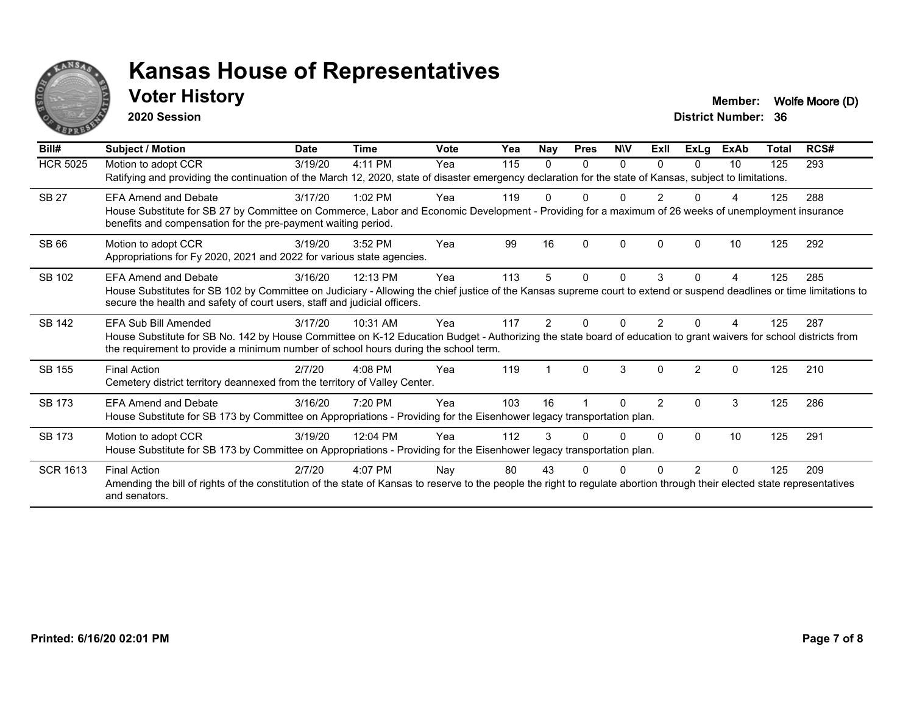

**2020 Session**

**Voter History Member:** Wolfe Moore (D)

| Bill#           | <b>Subject / Motion</b>                                                                                                                                                                                                                                  | <b>Date</b> | <b>Time</b> | <b>Vote</b> | Yea | Nay            | <b>Pres</b> | <b>NIV</b> | ExII           | ExLg           | <b>ExAb</b> | Total | RCS# |
|-----------------|----------------------------------------------------------------------------------------------------------------------------------------------------------------------------------------------------------------------------------------------------------|-------------|-------------|-------------|-----|----------------|-------------|------------|----------------|----------------|-------------|-------|------|
| <b>HCR 5025</b> | Motion to adopt CCR                                                                                                                                                                                                                                      | 3/19/20     | 4:11 PM     | Yea         | 115 | 0              | $\Omega$    | 0          | <sup>n</sup>   | 0              | 10          | 125   | 293  |
|                 | Ratifying and providing the continuation of the March 12, 2020, state of disaster emergency declaration for the state of Kansas, subject to limitations.                                                                                                 |             |             |             |     |                |             |            |                |                |             |       |      |
| <b>SB 27</b>    | <b>EFA Amend and Debate</b>                                                                                                                                                                                                                              | 3/17/20     | $1:02$ PM   | Yea         | 119 |                | ŋ           | N          |                |                |             | 125   | 288  |
|                 | House Substitute for SB 27 by Committee on Commerce, Labor and Economic Development - Providing for a maximum of 26 weeks of unemployment insurance<br>benefits and compensation for the pre-payment waiting period.                                     |             |             |             |     |                |             |            |                |                |             |       |      |
| <b>SB66</b>     | Motion to adopt CCR                                                                                                                                                                                                                                      | 3/19/20     | 3:52 PM     | Yea         | 99  | 16             | 0           | $\Omega$   | <sup>0</sup>   | 0              | 10          | 125   | 292  |
|                 | Appropriations for Fy 2020, 2021 and 2022 for various state agencies.                                                                                                                                                                                    |             |             |             |     |                |             |            |                |                |             |       |      |
| SB 102          | <b>EFA Amend and Debate</b>                                                                                                                                                                                                                              | 3/16/20     | 12:13 PM    | Yea         | 113 | 5              | 0           | $\Omega$   | 3              | $\Omega$       | 4           | 125   | 285  |
|                 | House Substitutes for SB 102 by Committee on Judiciary - Allowing the chief justice of the Kansas supreme court to extend or suspend deadlines or time limitations to<br>secure the health and safety of court users, staff and judicial officers.       |             |             |             |     |                |             |            |                |                |             |       |      |
| <b>SB 142</b>   | <b>EFA Sub Bill Amended</b>                                                                                                                                                                                                                              | 3/17/20     | 10:31 AM    | Yea         | 117 | $\overline{2}$ | 0           | 0          |                |                |             | 125   | 287  |
|                 | House Substitute for SB No. 142 by House Committee on K-12 Education Budget - Authorizing the state board of education to grant waivers for school districts from<br>the requirement to provide a minimum number of school hours during the school term. |             |             |             |     |                |             |            |                |                |             |       |      |
| <b>SB 155</b>   | <b>Final Action</b>                                                                                                                                                                                                                                      | 2/7/20      | 4:08 PM     | Yea         | 119 |                | $\Omega$    | 3          | $\Omega$       | $\mathfrak{p}$ | $\Omega$    | 125   | 210  |
|                 | Cemetery district territory deannexed from the territory of Valley Center.                                                                                                                                                                               |             |             |             |     |                |             |            |                |                |             |       |      |
| <b>SB 173</b>   | <b>EFA Amend and Debate</b>                                                                                                                                                                                                                              | 3/16/20     | 7:20 PM     | Yea         | 103 | 16             |             | 0          | $\overline{2}$ | $\Omega$       | 3           | 125   | 286  |
|                 | House Substitute for SB 173 by Committee on Appropriations - Providing for the Eisenhower legacy transportation plan.                                                                                                                                    |             |             |             |     |                |             |            |                |                |             |       |      |
| <b>SB 173</b>   | Motion to adopt CCR                                                                                                                                                                                                                                      | 3/19/20     | 12:04 PM    | Yea         | 112 | 3              | U           | 0          | <sup>0</sup>   | $\Omega$       | 10          | 125   | 291  |
|                 | House Substitute for SB 173 by Committee on Appropriations - Providing for the Eisenhower legacy transportation plan.                                                                                                                                    |             |             |             |     |                |             |            |                |                |             |       |      |
| <b>SCR 1613</b> | <b>Final Action</b>                                                                                                                                                                                                                                      | 2/7/20      | $4:07$ PM   | Nay         | 80  | 43             |             |            |                |                | ŋ           | 125   | 209  |
|                 | Amending the bill of rights of the constitution of the state of Kansas to reserve to the people the right to regulate abortion through their elected state representatives<br>and senators.                                                              |             |             |             |     |                |             |            |                |                |             |       |      |